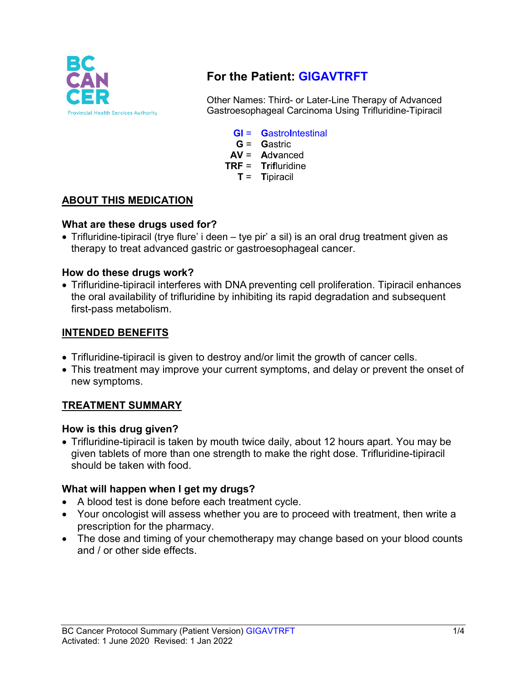

# **For the Patient: GIGAVTRFT**

Other Names: Third- or Later-Line Therapy of Advanced Gastroesophageal Carcinoma Using Trifluridine-Tipiracil

- **GI** = **G**astro**I**ntestinal
- **G** = **G**astric
- **AV** = **A**d**v**anced
- **TRF** = **Tr**i**f**luridine
	- **T** = **T**ipiracil

### **ABOUT THIS MEDICATION**

#### **What are these drugs used for?**

• Trifluridine-tipiracil (trye flure' i deen – tye pir' a sil) is an oral drug treatment given as therapy to treat advanced gastric or gastroesophageal cancer.

#### **How do these drugs work?**

• Trifluridine-tipiracil interferes with DNA preventing cell proliferation. Tipiracil enhances the oral availability of trifluridine by inhibiting its rapid degradation and subsequent first-pass metabolism.

#### **INTENDED BENEFITS**

- Trifluridine-tipiracil is given to destroy and/or limit the growth of cancer cells.
- This treatment may improve your current symptoms, and delay or prevent the onset of new symptoms.

## **TREATMENT SUMMARY**

#### **How is this drug given?**

• Trifluridine-tipiracil is taken by mouth twice daily, about 12 hours apart. You may be given tablets of more than one strength to make the right dose. Trifluridine-tipiracil should be taken with food.

#### **What will happen when I get my drugs?**

- A blood test is done before each treatment cycle.
- Your oncologist will assess whether you are to proceed with treatment, then write a prescription for the pharmacy.
- The dose and timing of your chemotherapy may change based on your blood counts and / or other side effects.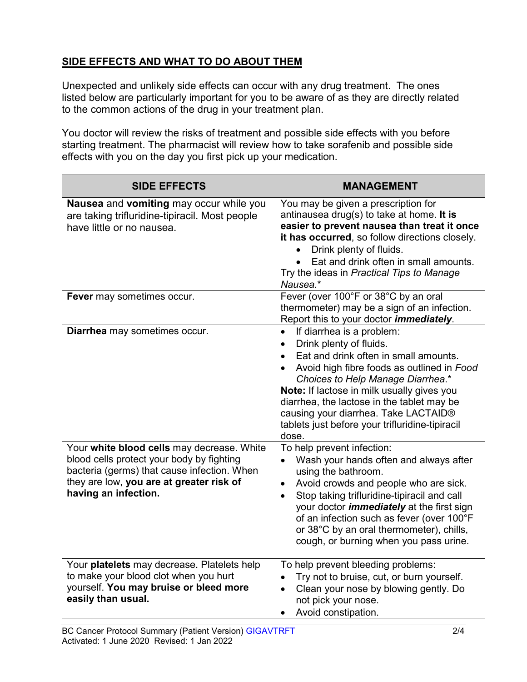# **SIDE EFFECTS AND WHAT TO DO ABOUT THEM**

Unexpected and unlikely side effects can occur with any drug treatment. The ones listed below are particularly important for you to be aware of as they are directly related to the common actions of the drug in your treatment plan.

You doctor will review the risks of treatment and possible side effects with you before starting treatment. The pharmacist will review how to take sorafenib and possible side effects with you on the day you first pick up your medication.

| <b>SIDE EFFECTS</b>                                                                                                                                                                                        | <b>MANAGEMENT</b>                                                                                                                                                                                                                                                                                                                                                                                                       |
|------------------------------------------------------------------------------------------------------------------------------------------------------------------------------------------------------------|-------------------------------------------------------------------------------------------------------------------------------------------------------------------------------------------------------------------------------------------------------------------------------------------------------------------------------------------------------------------------------------------------------------------------|
| <b>Nausea</b> and <b>vomiting</b> may occur while you<br>are taking trifluridine-tipiracil. Most people<br>have little or no nausea.                                                                       | You may be given a prescription for<br>antinausea drug(s) to take at home. It is<br>easier to prevent nausea than treat it once<br>it has occurred, so follow directions closely.<br>Drink plenty of fluids.<br>Eat and drink often in small amounts.<br>Try the ideas in Practical Tips to Manage<br>Nausea.*                                                                                                          |
| Fever may sometimes occur.                                                                                                                                                                                 | Fever (over 100°F or 38°C by an oral<br>thermometer) may be a sign of an infection.<br>Report this to your doctor <i>immediately</i> .                                                                                                                                                                                                                                                                                  |
| Diarrhea may sometimes occur.                                                                                                                                                                              | If diarrhea is a problem:<br>$\bullet$<br>Drink plenty of fluids.<br>$\bullet$<br>Eat and drink often in small amounts.<br>$\bullet$<br>Avoid high fibre foods as outlined in Food<br>Choices to Help Manage Diarrhea.*<br>Note: If lactose in milk usually gives you<br>diarrhea, the lactose in the tablet may be<br>causing your diarrhea. Take LACTAID®<br>tablets just before your trifluridine-tipiracil<br>dose. |
| Your white blood cells may decrease. White<br>blood cells protect your body by fighting<br>bacteria (germs) that cause infection. When<br>they are low, you are at greater risk of<br>having an infection. | To help prevent infection:<br>Wash your hands often and always after<br>using the bathroom.<br>Avoid crowds and people who are sick.<br>$\bullet$<br>Stop taking trifluridine-tipiracil and call<br>your doctor <i>immediately</i> at the first sign<br>of an infection such as fever (over 100°F<br>or 38°C by an oral thermometer), chills,<br>cough, or burning when you pass urine.                                 |
| Your platelets may decrease. Platelets help<br>to make your blood clot when you hurt<br>yourself. You may bruise or bleed more<br>easily than usual.                                                       | To help prevent bleeding problems:<br>Try not to bruise, cut, or burn yourself.<br>$\bullet$<br>Clean your nose by blowing gently. Do<br>$\bullet$<br>not pick your nose.<br>Avoid constipation.<br>$\bullet$                                                                                                                                                                                                           |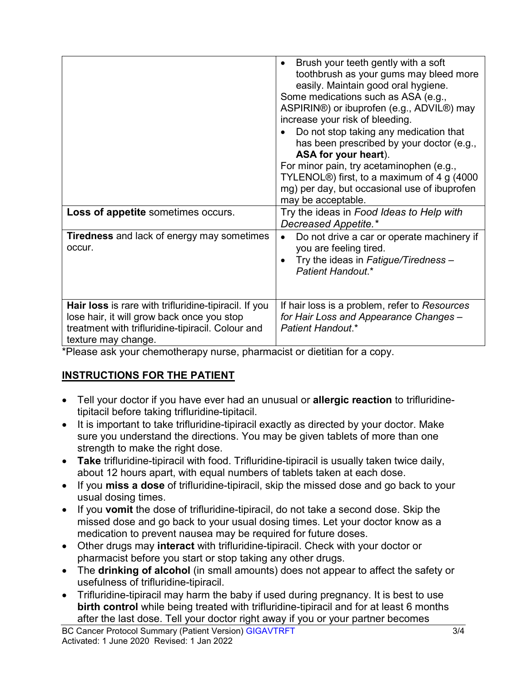|                                                                                                                                                                                        | Brush your teeth gently with a soft<br>toothbrush as your gums may bleed more<br>easily. Maintain good oral hygiene.<br>Some medications such as ASA (e.g.,<br>ASPIRIN®) or ibuprofen (e.g., ADVIL®) may<br>increase your risk of bleeding.<br>Do not stop taking any medication that<br>has been prescribed by your doctor (e.g.,<br>ASA for your heart).<br>For minor pain, try acetaminophen (e.g.,<br>TYLENOL <sup>®</sup> ) first, to a maximum of 4 g (4000<br>mg) per day, but occasional use of ibuprofen<br>may be acceptable. |
|----------------------------------------------------------------------------------------------------------------------------------------------------------------------------------------|-----------------------------------------------------------------------------------------------------------------------------------------------------------------------------------------------------------------------------------------------------------------------------------------------------------------------------------------------------------------------------------------------------------------------------------------------------------------------------------------------------------------------------------------|
| Loss of appetite sometimes occurs.                                                                                                                                                     | Try the ideas in Food Ideas to Help with<br>Decreased Appetite.*                                                                                                                                                                                                                                                                                                                                                                                                                                                                        |
| <b>Tiredness</b> and lack of energy may sometimes<br>occur.                                                                                                                            | Do not drive a car or operate machinery if<br>$\bullet$<br>you are feeling tired.<br>Try the ideas in Fatigue/Tiredness -<br>Patient Handout.*                                                                                                                                                                                                                                                                                                                                                                                          |
| <b>Hair loss</b> is rare with trifluridine-tipiracil. If you<br>lose hair, it will grow back once you stop<br>treatment with trifluridine-tipiracil. Colour and<br>texture may change. | If hair loss is a problem, refer to Resources<br>for Hair Loss and Appearance Changes -<br>Patient Handout.*                                                                                                                                                                                                                                                                                                                                                                                                                            |

\*Please ask your chemotherapy nurse, pharmacist or dietitian for a copy.

# **INSTRUCTIONS FOR THE PATIENT**

- Tell your doctor if you have ever had an unusual or **allergic reaction** to trifluridinetipitacil before taking trifluridine-tipitacil.
- It is important to take trifluridine-tipiracil exactly as directed by your doctor. Make sure you understand the directions. You may be given tablets of more than one strength to make the right dose.
- **Take** trifluridine-tipiracil with food. Trifluridine-tipiracil is usually taken twice daily, about 12 hours apart, with equal numbers of tablets taken at each dose.
- If you **miss a dose** of trifluridine-tipiracil, skip the missed dose and go back to your usual dosing times.
- If you **vomit** the dose of trifluridine-tipiracil, do not take a second dose. Skip the missed dose and go back to your usual dosing times. Let your doctor know as a medication to prevent nausea may be required for future doses.
- Other drugs may **interact** with trifluridine-tipiracil. Check with your doctor or pharmacist before you start or stop taking any other drugs.
- The **drinking of alcohol** (in small amounts) does not appear to affect the safety or usefulness of trifluridine-tipiracil.
- Trifluridine-tipiracil may harm the baby if used during pregnancy. It is best to use **birth control** while being treated with trifluridine-tipiracil and for at least 6 months after the last dose. Tell your doctor right away if you or your partner becomes